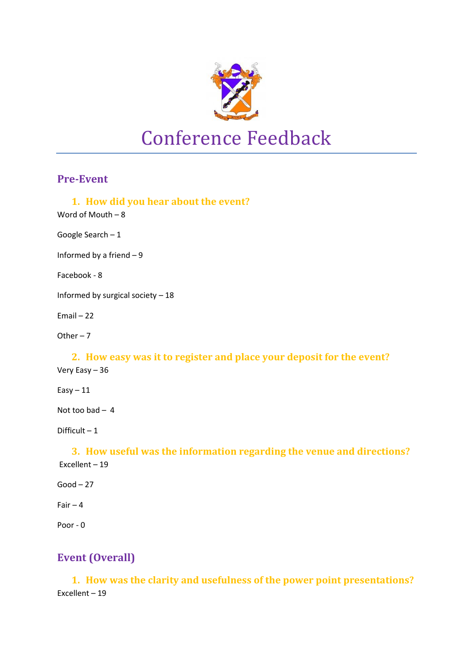

#### **Pre-Event**

- **1. How did you hear about the event?**
- Word of Mouth 8

Google Search – 1

Informed by a friend – 9

Facebook - 8

Informed by surgical society – 18

Email – 22

Other – 7

#### **2. How easy was it to register and place your deposit for the event?**  Very Easy – 36

 $Easy - 11$ 

Not too bad – 4

Difficult – 1

**3. How useful was the information regarding the venue and directions?** Excellent – 19

 $Good - 27$ 

Fair  $-4$ 

Poor - 0

# **Event (Overall)**

**1. How was the clarity and usefulness of the power point presentations?** Excellent – 19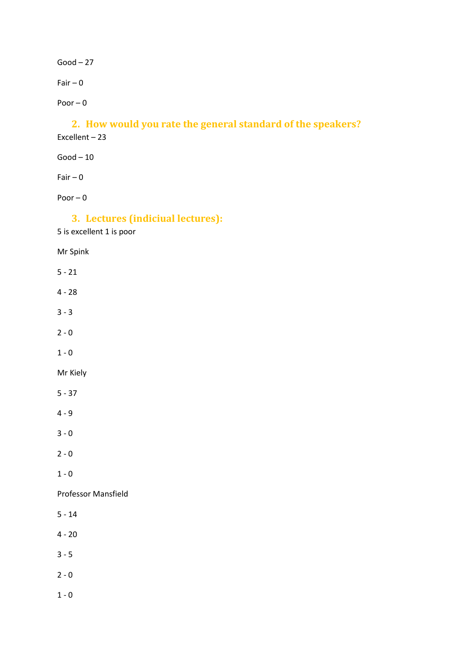$Good-27$ 

Fair  $-0$ 

Poor – 0

# **2. How would you rate the general standard of the speakers?**

Excellent – 23

 $Good-10$ 

Fair  $-0$ 

Poor – 0

# **3. Lectures (indiciual lectures):**

5 is excellent 1 is poor

Mr Spink

5 - 21

- 4 28
- 3 3
- $2 0$

 $1 - 0$ 

Mr Kiely

5 - 37

4 - 9

3 - 0

 $2 - 0$ 

 $1 - 0$ 

Professor Mansfield

- 5 14
- $4 20$
- $3 5$
- $2 0$
- $1 0$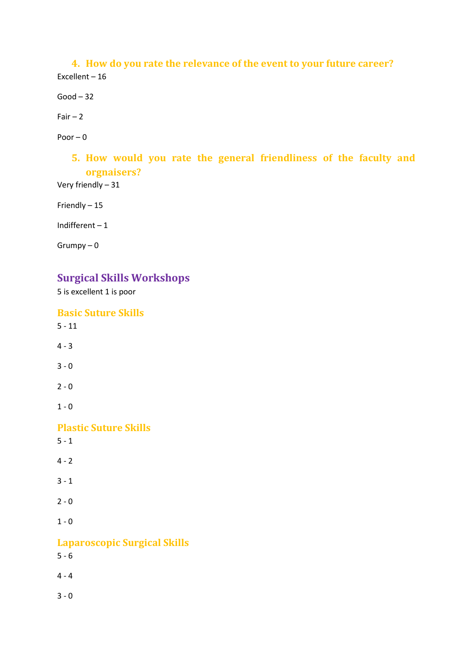**4. How do you rate the relevance of the event to your future career?** Excellent – 16

 $Good - 32$ 

 $Fair - 2$ 

Poor  $-0$ 

# **5. How would you rate the general friendliness of the faculty and orgnaisers?**

Very friendly – 31

Friendly – 15

Indifferent – 1

Grumpy – 0

### **Surgical Skills Workshops**

5 is excellent 1 is poor

**Basic Suture Skills**  $5 - 11$  $4 - 3$ 3 - 0  $2 - 0$  $1 - 0$ **Plastic Suture Skills**  $5 - 1$  $4 - 2$  $3 - 1$  $2 - 0$  $1 - 0$ **Laparoscopic Surgical Skills** 5 - 6 4 - 4  $3 - 0$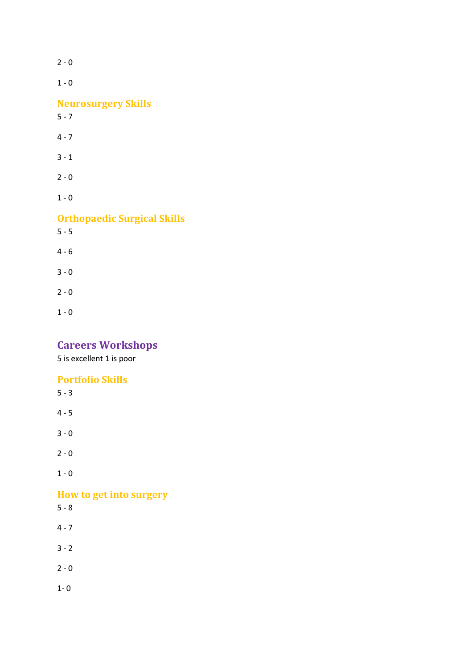$2 - 0$  $1 - 0$ **Neurosurgery Skills**   $5 - 7$ 4 - 7 3 - 1  $2 - 0$  $1 - 0$ **Orthopaedic Surgical Skills**   $5 - 5$ 4 - 6 3 - 0  $2 - 0$  $1 - 0$ 

# **Careers Workshops**

5 is excellent 1 is poor

# **Portfolio Skills**

 $1 - 0$ 

# **How to get into surgery**

5 - 8

- $4 7$
- $3 2$
- $2 0$
- $1 0$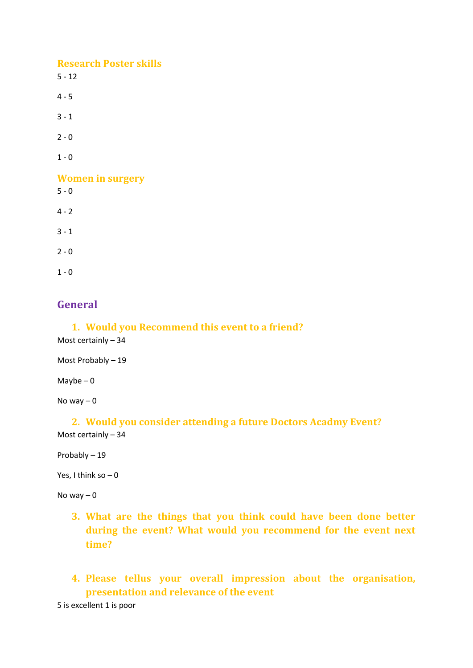#### **Research Poster skills**

 $5 - 12$ 

 $4 - 5$ 

 $3 - 1$ 

 $2 - 0$ 

 $1 - 0$ 

**Women in surgery**

 $5 - 0$ 

 $4 - 2$ 

 $3 - 1$ 

 $2 - 0$ 

 $1 - 0$ 

### **General**

#### **1. Would you Recommend this event to a friend?**

Most certainly – 34

Most Probably – 19

Maybe  $-0$ 

No way  $-0$ 

#### **2. Would you consider attending a future Doctors Acadmy Event?** Most certainly – 34

Probably – 19

Yes, I think so  $-0$ 

No way  $-0$ 

- **3. What are the things that you think could have been done better during the event? What would you recommend for the event next time?**
- **4. Please tellus your overall impression about the organisation, presentation and relevance of the event**

5 is excellent 1 is poor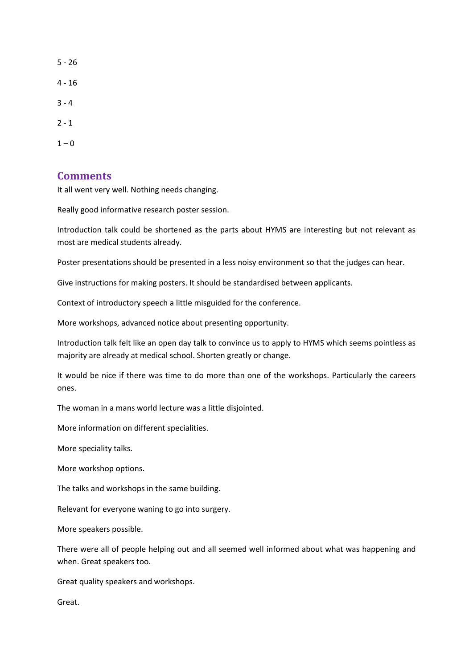$1 - 0$ 

#### **Comments**

It all went very well. Nothing needs changing.

Really good informative research poster session.

Introduction talk could be shortened as the parts about HYMS are interesting but not relevant as most are medical students already.

Poster presentations should be presented in a less noisy environment so that the judges can hear.

Give instructions for making posters. It should be standardised between applicants.

Context of introductory speech a little misguided for the conference.

More workshops, advanced notice about presenting opportunity.

Introduction talk felt like an open day talk to convince us to apply to HYMS which seems pointless as majority are already at medical school. Shorten greatly or change.

It would be nice if there was time to do more than one of the workshops. Particularly the careers ones.

The woman in a mans world lecture was a little disjointed.

More information on different specialities.

More speciality talks.

More workshop options.

The talks and workshops in the same building.

Relevant for everyone waning to go into surgery.

More speakers possible.

There were all of people helping out and all seemed well informed about what was happening and when. Great speakers too.

Great quality speakers and workshops.

Great.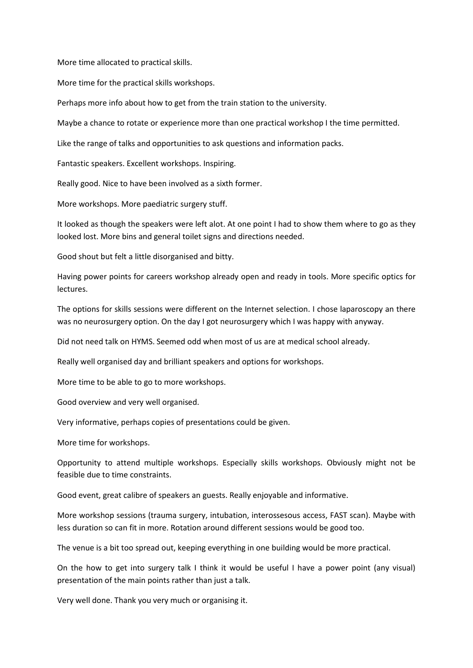More time allocated to practical skills.

More time for the practical skills workshops.

Perhaps more info about how to get from the train station to the university.

Maybe a chance to rotate or experience more than one practical workshop I the time permitted.

Like the range of talks and opportunities to ask questions and information packs.

Fantastic speakers. Excellent workshops. Inspiring.

Really good. Nice to have been involved as a sixth former.

More workshops. More paediatric surgery stuff.

It looked as though the speakers were left alot. At one point I had to show them where to go as they looked lost. More bins and general toilet signs and directions needed.

Good shout but felt a little disorganised and bitty.

Having power points for careers workshop already open and ready in tools. More specific optics for lectures.

The options for skills sessions were different on the Internet selection. I chose laparoscopy an there was no neurosurgery option. On the day I got neurosurgery which I was happy with anyway.

Did not need talk on HYMS. Seemed odd when most of us are at medical school already.

Really well organised day and brilliant speakers and options for workshops.

More time to be able to go to more workshops.

Good overview and very well organised.

Very informative, perhaps copies of presentations could be given.

More time for workshops.

Opportunity to attend multiple workshops. Especially skills workshops. Obviously might not be feasible due to time constraints.

Good event, great calibre of speakers an guests. Really enjoyable and informative.

More workshop sessions (trauma surgery, intubation, interossesous access, FAST scan). Maybe with less duration so can fit in more. Rotation around different sessions would be good too.

The venue is a bit too spread out, keeping everything in one building would be more practical.

On the how to get into surgery talk I think it would be useful I have a power point (any visual) presentation of the main points rather than just a talk.

Very well done. Thank you very much or organising it.